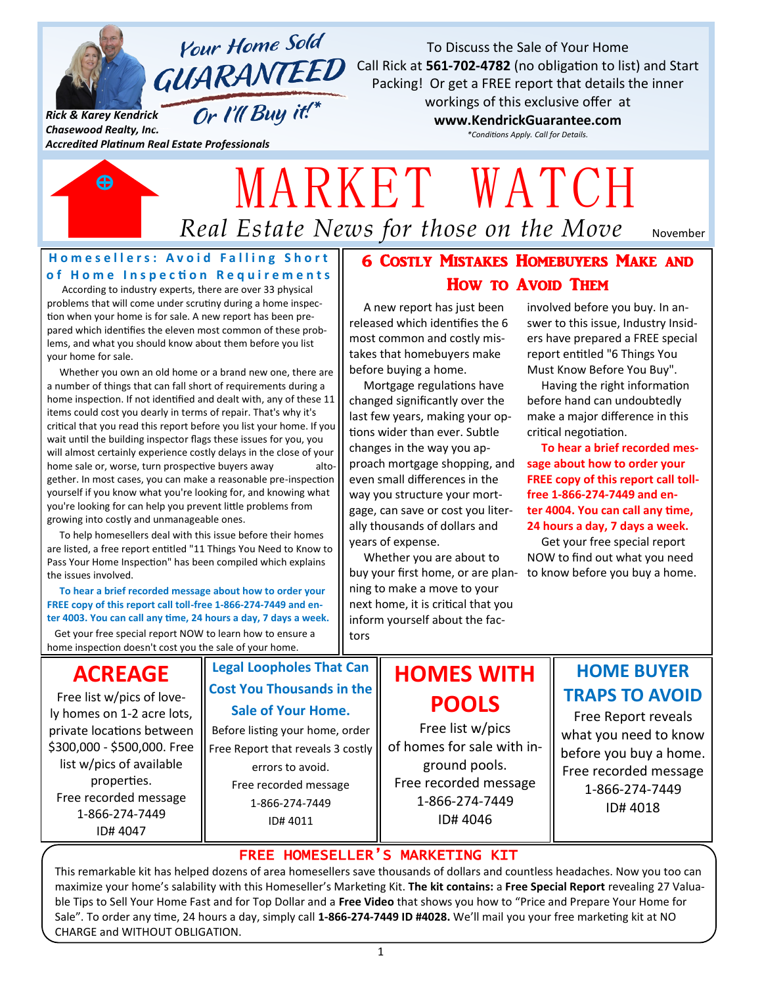

**Your Home Sold** GUARANTEED

Or I'll Buy it!\*

*Rick & Karey Kendrick Chasewood Realty, Inc.*

*Accredited Platinum Real Estate Professionals*

To Discuss the Sale of Your Home Call Rick at **561-702-4782** (no obligation to list) and Start Packing! Or get a FREE report that details the inner

workings of this exclusive offer at **www.KendrickGuarantee.com**

*\*Conditions Apply. Call for Details.*



# *Real Estate News for those on the Move* MARKET WATCH

November

### **Homesellers: Avoid Falling Short** of Home Inspection Requirements

 According to industry experts, there are over 33 physical problems that will come under scrutiny during a home inspection when your home is for sale. A new report has been prepared which identifies the eleven most common of these problems, and what you should know about them before you list your home for sale.

 Whether you own an old home or a brand new one, there are a number of things that can fall short of requirements during a home inspection. If not identified and dealt with, any of these 11 items could cost you dearly in terms of repair. That's why it's critical that you read this report before you list your home. If you wait until the building inspector flags these issues for you, you will almost certainly experience costly delays in the close of your home sale or, worse, turn prospective buyers away altogether. In most cases, you can make a reasonable pre-inspection yourself if you know what you're looking for, and knowing what you're looking for can help you prevent little problems from growing into costly and unmanageable ones.

 To help homesellers deal with this issue before their homes are listed, a free report entitled "11 Things You Need to Know to Pass Your Home Inspection" has been compiled which explains the issues involved.

 **To hear a brief recorded message about how to order your FREE copy of this report call toll-free 1-866-274-7449 and enter 4003. You can call any time, 24 hours a day, 7 days a week.**

 Get your free special report NOW to learn how to ensure a home inspection doesn't cost you the sale of your home.

## 6 Costly Mistakes Homebuyers Make and How to Avoid Them

 A new report has just been released which identifies the 6 most common and costly mistakes that homebuyers make before buying a home.

 Mortgage regulations have changed significantly over the last few years, making your options wider than ever. Subtle changes in the way you approach mortgage shopping, and even small differences in the way you structure your mortgage, can save or cost you literally thousands of dollars and years of expense.

 Whether you are about to buy your first home, or are plan-to know before you buy a home. ning to make a move to your next home, it is critical that you inform yourself about the factors

involved before you buy. In answer to this issue, Industry Insiders have prepared a FREE special report entitled "6 Things You Must Know Before You Buy".

 Having the right information before hand can undoubtedly make a major difference in this critical negotiation.

 **To hear a brief recorded message about how to order your FREE copy of this report call tollfree 1-866-274-7449 and enter 4004. You can call any time, 24 hours a day, 7 days a week.**

 Get your free special report NOW to find out what you need

## **ACREAGE**

Free list w/pics of lovely homes on 1-2 acre lots, private locations between \$300,000 - \$500,000. Free list w/pics of available properties. Free recorded message 1-866-274-7449 ID# 4047

## **Legal Loopholes That Can Cost You Thousands in the Sale of Your Home.**

Before listing your home, order Free Report that reveals 3 costly errors to avoid. Free recorded message 1-866-274-7449 ID# 4011

# **HOMES WITH POOLS**

Free list w/pics of homes for sale with inground pools. Free recorded message 1-866-274-7449 ID# 4046

## **HOME BUYER TRAPS TO AVOID**

Free Report reveals what you need to know before you buy a home. Free recorded message 1-866-274-7449 ID# 4018

## FREE HOMESELLER'S MARKETING KIT

This remarkable kit has helped dozens of area homesellers save thousands of dollars and countless headaches. Now you too can maximize your home's salability with this Homeseller's Marketing Kit. **The kit contains:** a **Free Special Report** revealing 27 Valuable Tips to Sell Your Home Fast and for Top Dollar and a **Free Video** that shows you how to "Price and Prepare Your Home for Sale". To order any time, 24 hours a day, simply call **1-866-274-7449 ID #4028.** We'll mail you your free marketing kit at NO CHARGE and WITHOUT OBLIGATION.